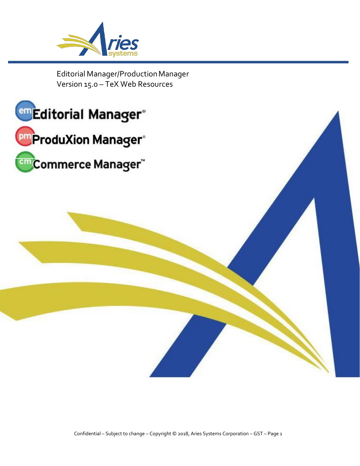

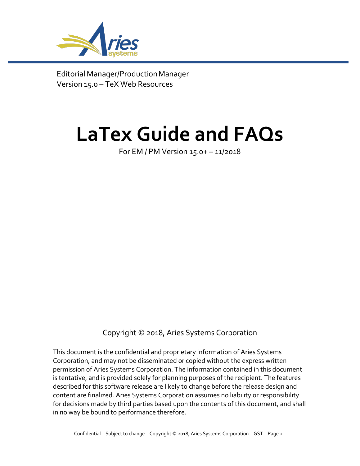

# **LaTex Guide and FAQs**

For EM / PM Version 15.0+ – 11/2018

Copyright © 2018, Aries Systems Corporation

This document is the confidential and proprietary information of Aries Systems Corporation, and may not be disseminated or copied without the express written permission of Aries Systems Corporation. The information contained in this document is tentative, and is provided solely for planning purposes of the recipient. The features described for this software release are likely to change before the release design and content are finalized. Aries Systems Corporation assumes no liability or responsibility for decisions made by third parties based upon the contents of this document, and shall in no way be bound to performance therefore.

Confidential – Subject to change – Copyright © 2018, Aries Systems Corporation – GST – Page 2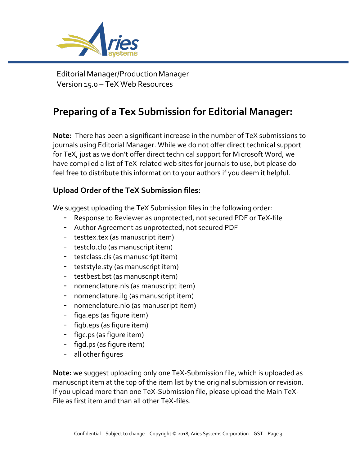

# **Preparing of a Tex Submission for Editorial Manager:**

**Note:** There has been a significant increase in the number of TeX submissions to journals using Editorial Manager. While we do not offer direct technical support for TeX, just as we don't offer direct technical support for Microsoft Word, we have compiled a list of TeX-related web sites for journals to use, but please do feel free to distribute this information to your authors if you deem it helpful.

## **Upload Order of the TeX Submission files:**

We suggest uploading the TeX Submission files in the following order:

- Response to Reviewer as unprotected, not secured PDF or TeX-file
- Author Agreement as unprotected, not secured PDF
- testtex.tex (as manuscript item)
- testclo.clo (as manuscript item)
- testclass.cls (as manuscript item)
- teststyle.sty (as manuscript item)
- testbest.bst (as manuscript item)
- nomenclature.nls (as manuscript item)
- nomenclature.ilg (as manuscript item)
- nomenclature.nlo (as manuscript item)
- figa.eps (as figure item)
- figb.eps (as figure item)
- figc.ps (as figure item)
- figd.ps (as figure item)
- all other figures

**Note:** we suggest uploading only one TeX-Submission file, which is uploaded as manuscript item at the top of the item list by the original submission or revision. If you upload more than one TeX-Submission file, please upload the Main TeX-File as first item and than all other TeX-files.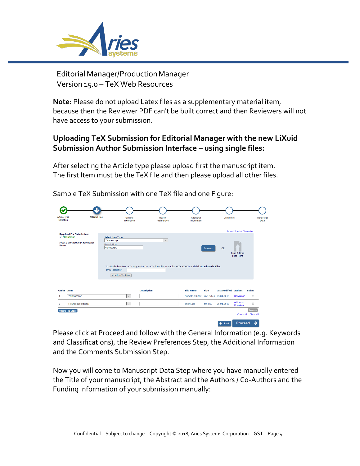

**Note:** Please do not upload Latex files as a supplementary material item, because then the Reviewer PDF can't be built correct and then Reviewers will not have access to your submission.

## **Uploading TeX Submission for Editorial Manager with the new LiXuid Submission Author Submission Interface – using single files:**

After selecting the Article type please upload first the manuscript item. The first Item must be the TeX file and then please upload all other files.

| Article Type<br>Selection                                  | <b>Attach Files</b> |                                         | General<br>Information   | Review<br>Preferences                                                                                         | Additional<br>Information           |             | <b>Comments</b>              |                                 | Manuscript                            |
|------------------------------------------------------------|---------------------|-----------------------------------------|--------------------------|---------------------------------------------------------------------------------------------------------------|-------------------------------------|-------------|------------------------------|---------------------------------|---------------------------------------|
|                                                            |                     |                                         |                          |                                                                                                               |                                     |             |                              | <b>Insert Special Character</b> |                                       |
| <b>Required For Submission:</b><br>$\checkmark$ Manuscript |                     | Select Item Type<br>*Manuscript         |                          | $\mathbf{v}$                                                                                                  |                                     |             |                              |                                 |                                       |
| Please provide any additional<br>items.                    |                     | Description<br>Manuscript               |                          |                                                                                                               |                                     | Browse      | OR                           |                                 |                                       |
|                                                            |                     |                                         |                          |                                                                                                               |                                     |             |                              | Drag & Drop                     |                                       |
|                                                            |                     |                                         |                          |                                                                                                               |                                     |             |                              | <b>Files Here</b>               |                                       |
|                                                            |                     | arXiv Identifier:<br>Attach arXiv Files |                          | To attach files from arXiv.org, enter the arXiv identifier (sample: XXXX.XXXXX) and click Attach arXiv Files. |                                     |             |                              |                                 |                                       |
|                                                            |                     |                                         |                          | <b>Description</b>                                                                                            | <b>File Name</b>                    | <b>Size</b> | <b>Last Modified Actions</b> |                                 | <b>Select</b>                         |
| <b>Order</b> Item<br>*Manuscript                           |                     |                                         | $\overline{\phantom{a}}$ |                                                                                                               | Sample-gst.tex 260 Bytes 25.01.2018 |             |                              | Download                        | $\begin{array}{c} \hline \end{array}$ |
| Figures (all others)                                       |                     |                                         | $\overline{\phantom{a}}$ |                                                                                                               | shark.jpg                           | 50.4 KB     | 25,01,2018                   | <b>Edit Data</b><br>Download    | $\Box$                                |

Sample TeX Submission with one TeX file and one Figure:

Please click at Proceed and follow with the General Information (e.g. Keywords and Classifications), the Review Preferences Step, the Additional Information and the Comments Submission Step.

Now you will come to Manuscript Data Step where you have manually entered the Title of your manuscript, the Abstract and the Authors / Co-Authors and the Funding information of your submission manually: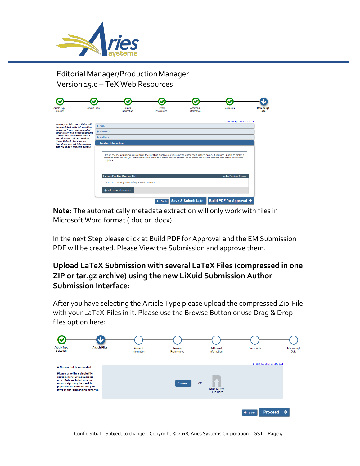

| Selection                                                                                       | <b>Attach Files</b> |                       | General<br>Information                                                                                                                                                                                                                                                        | Review<br><b>Preferences</b> | Additional<br>Information | Comments                        | <b>Manuscript</b><br>Data |
|-------------------------------------------------------------------------------------------------|---------------------|-----------------------|-------------------------------------------------------------------------------------------------------------------------------------------------------------------------------------------------------------------------------------------------------------------------------|------------------------------|---------------------------|---------------------------------|---------------------------|
| When possible these fields will<br>be populated with information                                |                     | $+$ Title             |                                                                                                                                                                                                                                                                               |                              |                           | <b>Insert Special Character</b> |                           |
| collected from your uploaded<br>submission file. Steps requiring                                |                     | + Abstract            |                                                                                                                                                                                                                                                                               |                              |                           |                                 |                           |
| review will be marked with a<br>warning icon. Please review                                     |                     | + Authors             |                                                                                                                                                                                                                                                                               |                              |                           |                                 |                           |
| these fields to be sure we<br>found the correct information<br>and fill in any missing details. |                     | - Funding Information |                                                                                                                                                                                                                                                                               |                              |                           |                                 |                           |
|                                                                                                 |                     |                       | Please choose a funding source from the list that displays as you start to enter the funder's name. If you are unable to make a<br>selection from the list you can continue to enter the entire funder's name. Then enter the award number and select the award<br>recipient. |                              |                           |                                 |                           |
|                                                                                                 |                     |                       | <b>Current Funding Sources List</b>                                                                                                                                                                                                                                           |                              |                           | + Add a Funding Source          |                           |
|                                                                                                 |                     |                       | There are currently no Funding Sources in the list                                                                                                                                                                                                                            |                              |                           |                                 |                           |
|                                                                                                 |                     |                       |                                                                                                                                                                                                                                                                               |                              |                           |                                 |                           |

**Note:** The automatically metadata extraction will only work with files in Microsoft Word format (.doc or .docx).

In the next Step please click at Build PDF for Approval and the EM Submission PDF will be created. Please View the Submission and approve them.

## **Upload LaTeX Submission with several LaTeX Files (compressed in one ZIP or tar.gz archive) using the new LiXuid Submission Author Submission Interface:**

After you have selecting the Article Type please upload the compressed Zip-File with your LaTeX-Files in it. Please use the Browse Button or use Drag & Drop files option here:

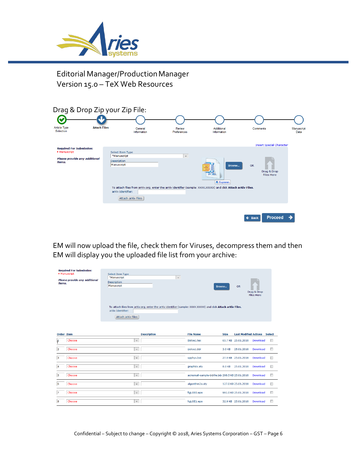



EM will now upload the file, check them for Viruses, decompress them and then EM will display you the uploaded file list from your archive:

| <b>Required For Submission:</b><br>· Manuscript<br>Please provide any additional<br>items. | Select Item Type<br>*Manuscript<br>Description<br>Manuscript<br>To attach files from arXiv.org, enter the arXiv identifier (sample: XXXX.XXXXX) and click Attach arXiv Files.<br>arXiv Identifier:<br>Attach arXiv Files | $\mathbf{v}$                                    | Browse      | <b>OR</b>                    | Drag & Drop<br><b>Files Here</b> |               |
|--------------------------------------------------------------------------------------------|--------------------------------------------------------------------------------------------------------------------------------------------------------------------------------------------------------------------------|-------------------------------------------------|-------------|------------------------------|----------------------------------|---------------|
| <b>Order Item</b>                                                                          | <b>Description</b>                                                                                                                                                                                                       | <b>File Name</b>                                | <b>Size</b> | <b>Last Modified Actions</b> |                                  | <b>Select</b> |
| Choose<br>$\mathbf{r}$                                                                     | $\overline{\phantom{a}}$                                                                                                                                                                                                 | ijisloe1.tex                                    |             | 65.7 KB 25.01.2018           | Download                         | $\Box$        |
| Choose<br>2                                                                                | $\overline{\phantom{m}}$                                                                                                                                                                                                 | ijisloe1.bbl                                    | 3.0 KB      | 25.01.2018                   | Download                         | $\Box$        |
| 3<br>Choose                                                                                | $\overline{\mathbf{v}}$                                                                                                                                                                                                  | spphys.bst                                      |             | 27.9 KB 25.01.2018           | Download                         | $\Box$        |
| Choose<br>$\overline{4}$                                                                   | $\overline{\phantom{a}}$                                                                                                                                                                                                 | graphicx.sty                                    | 8.0 KB      | 25.01.2018                   | Download                         | ▣             |
| Choose<br>5                                                                                | $\overline{\phantom{a}}$                                                                                                                                                                                                 | acmsmall-sample-bibfile.bib 298.5 KB 25.01.2018 |             |                              | Download                         | $\Box$        |
| 6<br>Choose                                                                                | $\overline{\mathbf{v}}$ .                                                                                                                                                                                                | algorithm2e.sty                                 |             | 127.0 KB 25.01.2018          | Download                         | $\Box$        |
| Choose<br>7                                                                                | $\overline{\phantom{a}}$                                                                                                                                                                                                 | figLOE0.eps                                     |             | 991.0 KB 25.01.2018          | Download                         | $\Box$        |
| Choose<br>8                                                                                | $\mathbf{v}$                                                                                                                                                                                                             | figLOE1.eps                                     |             | 32.9 KB 25.01.2018           | Download                         | n             |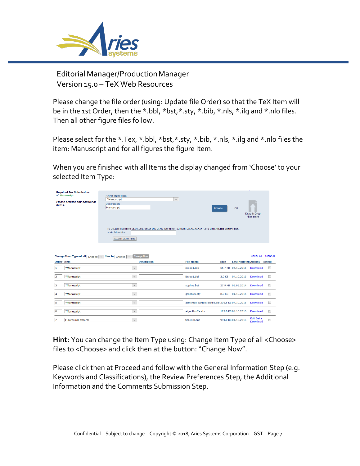

Please change the file order (using: Update file Order) so that the TeX Item will be in the 1st Order, then the \*.bbl, \*bst,\*.sty, \*.bib, \*.nls, \*.ilg and \*.nlo files. Then all other figure files follow.

Please select for the \*.Tex, \*.bbl, \*bst, \*.sty, \*.bib, \*.nls, \*.ilg and \*.nlo files the item: Manuscript and for all figures the figure Item.

When you are finished with all Items the display changed from 'Choose' to your selected Item Type:

| <b>Required For Submission:</b><br>$\sqrt{\phantom{a}}$ Manuscript<br>Please provide any additional<br>items. | Select Item Type<br>*Manuscript<br><b>Description</b><br>Manuscript<br>arXiv Identifier:<br>Attach arXiv Files | $\;$<br>To attach files from arXiv.org, enter the arXiv identifier (sample: XXXX.XXXXX) and click Attach arXiv Files. | Browse                                          | <b>OR</b>                    | Drag & Drop<br><b>Files Here</b> |               |
|---------------------------------------------------------------------------------------------------------------|----------------------------------------------------------------------------------------------------------------|-----------------------------------------------------------------------------------------------------------------------|-------------------------------------------------|------------------------------|----------------------------------|---------------|
| Change Item Type of all Choose $\frac{1}{x}$ files to Choose $\frac{1}{x}$                                    | <b>Change Now</b>                                                                                              |                                                                                                                       |                                                 |                              | Check All                        | Clear All     |
| <b>Order Trem</b>                                                                                             | <b>Description</b>                                                                                             | <b>File Name</b>                                                                                                      | <b>Size</b>                                     | <b>Last Modified Actions</b> |                                  | <b>Select</b> |
| 1<br>*Manuscript                                                                                              | $\mathbf{v}$                                                                                                   | iiisloe1.tex                                                                                                          |                                                 | 65.7 KB 04.10.2016           | Download                         | $\Box$        |
| 2<br>*Manuscript                                                                                              | $\overline{\phantom{a}}$                                                                                       | ijisloe1.bbl                                                                                                          | 3.0 KB                                          | 04.10.2016                   | Download                         | $\Box$        |
| з<br>*Manuscript                                                                                              | $\mathbf{v}$                                                                                                   | spphys.bst                                                                                                            |                                                 | 27.9 KB 09.05.2014           | Download                         | $\Box$        |
| $\overline{\mathbf{4}}$<br>*Manuscript                                                                        | $\overline{\phantom{a}}$                                                                                       | graphicx.sty                                                                                                          | 8.0 KB                                          | 04.10.2016                   | Download                         | Π             |
| 5<br>*Manuscript                                                                                              | $\overline{\phantom{a}}$                                                                                       |                                                                                                                       | acmsmall-sample-bibfile.bib 298.5 KB 04.10.2016 |                              | Download                         | $\Box$        |
| 6<br>*Manuscript                                                                                              | $\mathbf{v}$                                                                                                   | algorithm2e.sty                                                                                                       |                                                 | 127.0 KB 04.10.2016          | Download                         | П             |
| 7<br>Figures (all others)                                                                                     | $\overline{\phantom{a}}$                                                                                       | figLOE0.eps                                                                                                           |                                                 | 991.0 KB 04.10.2016          | <b>Edit Data</b><br>Download     | $\Box$        |

**Hint:** You can change the Item Type using: Change Item Type of all <Choose> files to <Choose> and click then at the button: "Change Now".

Please click then at Proceed and follow with the General Information Step (e.g. Keywords and Classifications), the Review Preferences Step, the Additional Information and the Comments Submission Step.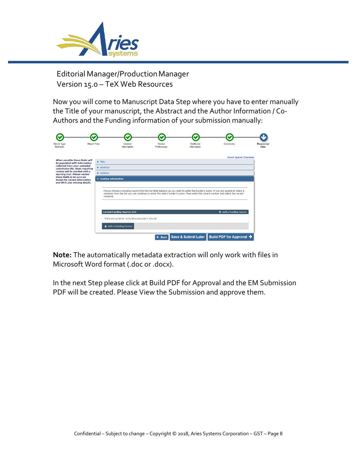

Now you will come to Manuscript Data Step where you have to enter manually the Title of your manuscript, the Abstract and the Author Information / Co-Authors and the Funding information of your submission manually:

| <b>Article Type</b><br>Selection                                                                                                                                                                                                                                   | <b>Attach Files</b> |                                                                 | General<br>Information                                                                                              | Review<br><b>Preferences</b> | Additional<br>Information                                                                                                                                                                                                                                       | Comments                                     | <b>Manuscript</b><br>Data |
|--------------------------------------------------------------------------------------------------------------------------------------------------------------------------------------------------------------------------------------------------------------------|---------------------|-----------------------------------------------------------------|---------------------------------------------------------------------------------------------------------------------|------------------------------|-----------------------------------------------------------------------------------------------------------------------------------------------------------------------------------------------------------------------------------------------------------------|----------------------------------------------|---------------------------|
| When possible these fields will<br>be populated with information<br>collected from your uploaded<br>submission file. Steps requiring<br>review will be marked with a<br>warning icon. Please review<br>these fields to be sure we<br>found the correct information |                     | $+$ Title<br>+ Abstract<br>$+$ Authors<br>- Funding Information |                                                                                                                     |                              |                                                                                                                                                                                                                                                                 | <b>Insert Special Character</b>              |                           |
| and fill in any missing details.                                                                                                                                                                                                                                   |                     | recipient.                                                      |                                                                                                                     |                              | Please choose a funding source from the list that displays as you start to enter the funder's name. If you are unable to make a<br>selection from the list you can continue to enter the entire funder's name. Then enter the award number and select the award |                                              |                           |
|                                                                                                                                                                                                                                                                    |                     |                                                                 | <b>Current Funding Sources List</b><br>There are currently no Funding Sources in the list<br>+ Add a Funding Source |                              |                                                                                                                                                                                                                                                                 | + Add a Funding Source                       |                           |
|                                                                                                                                                                                                                                                                    |                     |                                                                 |                                                                                                                     | $\leftarrow$ Back            |                                                                                                                                                                                                                                                                 | Save & Submit Later Build PDF for Approval → |                           |

**Note:** The automatically metadata extraction will only work with files in Microsoft Word format (.doc or .docx).

In the next Step please click at Build PDF for Approval and the EM Submission PDF will be created. Please View the Submission and approve them.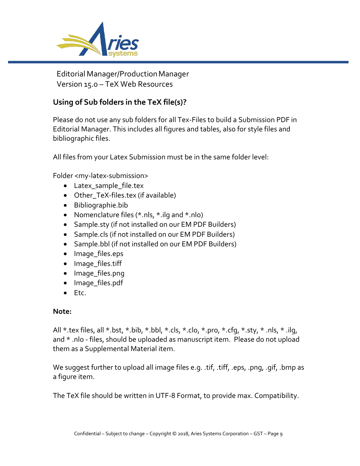

## **Using of Sub folders in the TeX file(s)?**

Please do not use any sub folders for all Tex-Files to build a Submission PDF in Editorial Manager. This includes all figures and tables, also for style files and bibliographic files.

All files from your Latex Submission must be in the same folder level:

Folder <my-latex-submission>

- Latex sample file.tex
- Other TeX-files.tex (if available)
- Bibliographie.bib
- Nomenclature files (\*.nls, \*.ilg and \*.nlo)
- Sample.sty (if not installed on our EM PDF Builders)
- Sample.cls (if not installed on our EM PDF Builders)
- Sample.bbl (if not installed on our EM PDF Builders)
- Image\_files.eps
- Image\_files.tiff
- Image\_files.png
- Image\_files.pdf
- Etc.

#### **Note:**

All \*.tex files, all \*.bst, \*.bib, \*.bbl, \*.cls, \*.clo, \*.pro, \*.cfg, \*.sty, \* .nls, \* .ilg, and \* .nlo - files, should be uploaded as manuscript item. Please do not upload them as a Supplemental Material item.

We suggest further to upload all image files e.g. .tif, .tiff, .eps, .png, .gif, .bmp as a figure item.

The TeX file should be written in UTF-8 Format, to provide max. Compatibility.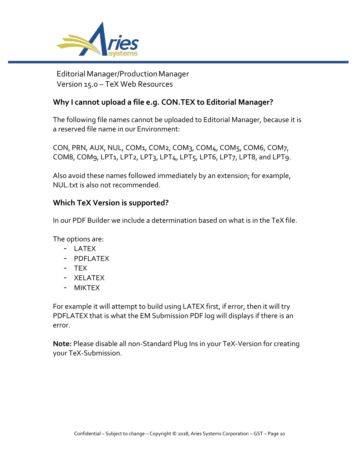

## **Why I cannot upload a file e.g. CON.TEX to Editorial Manager?**

The following file names cannot be uploaded to Editorial Manager, because it is a reserved file name in our Environment:

CON, PRN, AUX, NUL, COM1, COM2, COM3, COM4, COM5, COM6, COM7, COM8, COM9, LPT1, LPT2, LPT3, LPT4, LPT5, LPT6, LPT7, LPT8, and LPT9.

Also avoid these names followed immediately by an extension; for example, NUL.txt is also not recommended.

## **Which TeX Version is supported?**

In our PDF Builder we include a determination based on what is in the TeX file.

The options are:

- LATEX
- PDFLATEX
- TEX
- XELATEX
- MIKTEX

For example it will attempt to build using LATEX first, if error, then it will try PDFLATEX that is what the EM Submission PDF log will displays if there is an error.

**Note:** Please disable all non-Standard Plug Ins in your TeX-Version for creating your TeX-Submission.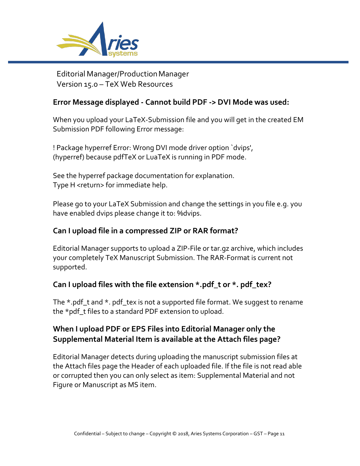

#### **Error Message displayed - Cannot build PDF -> DVI Mode was used:**

When you upload your LaTeX-Submission file and you will get in the created EM Submission PDF following Error message:

! Package hyperref Error: Wrong DVI mode driver option `dvips', (hyperref) because pdfTeX or LuaTeX is running in PDF mode.

See the hyperref package documentation for explanation. Type H <return> for immediate help.

Please go to your LaTeX Submission and change the settings in you file e.g. you have enabled dvips please change it to: %dvips.

#### **Can I upload file in a compressed ZIP or RAR format?**

Editorial Manager supports to upload a ZIP-File or tar.gz archive, which includes your completely TeX Manuscript Submission. The RAR-Format is current not supported.

## **Can I upload files with the file extension \*.pdf\_t or \*. pdf\_tex?**

The \*.pdf\_t and \*. pdf\_tex is not a supported file format. We suggest to rename the \*pdf\_t files to a standard PDF extension to upload.

## **When I upload PDF or EPS Files into Editorial Manager only the Supplemental Material Item is available at the Attach files page?**

Editorial Manager detects during uploading the manuscript submission files at the Attach files page the Header of each uploaded file. If the file is not read able or corrupted then you can only select as item: Supplemental Material and not Figure or Manuscript as MS item.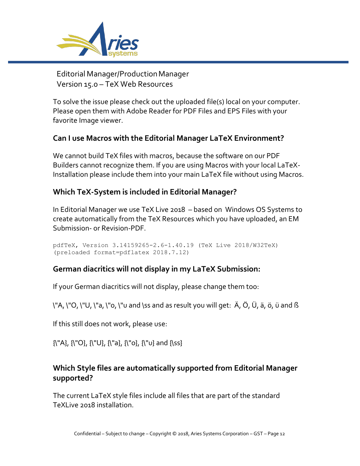

To solve the issue please check out the uploaded file(s) local on your computer. Please open them with Adobe Reader for PDF Files and EPS Files with your favorite Image viewer.

## **Can I use Macros with the Editorial Manager LaTeX Environment?**

We cannot build TeX files with macros, because the software on our PDF Builders cannot recognize them. If you are using Macros with your local LaTeX-Installation please include them into your main LaTeX file without using Macros.

## **Which TeX-System is included in Editorial Manager?**

In Editorial Manager we use TeX Live 2018 – based on Windows OS Systems to create automatically from the TeX Resources which you have uploaded, an EM Submission- or Revision-PDF.

```
pdfTeX, Version 3.14159265-2.6-1.40.19 (TeX Live 2018/W32TeX)
(preloaded format=pdflatex 2018.7.12)
```
## **German diacritics will not display in my LaTeX Submission:**

If your German diacritics will not display, please change them too:

\"A, \"O, \"U, \"a, \"o, \"u and \ss and as result you will get: Ä, Ö, Ü, ä, ö, ü and ß

If this still does not work, please use:

{\"A}, {\"O}, {\"U}, {\"a}, {\"o}, {\"u} and {\ss}

## **Which Style files are automatically supported from Editorial Manager supported?**

The current LaTeX style files include all files that are part of the standard TeXLive 2018 installation.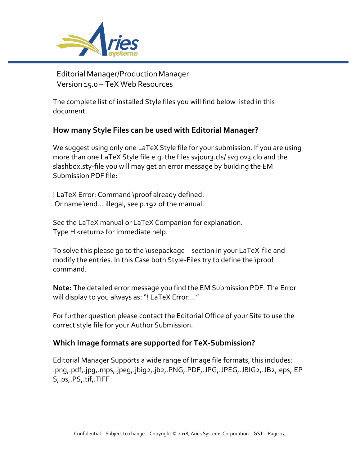

The complete list of installed Style files you will find below listed in this document.

## **How many Style Files can be used with Editorial Manager?**

We suggest using only one LaTeX Style file for your submission. If you are using more than one LaTeX Style file e.g. the files svjour3.cls/ svglov3.clo and the slashbox.sty-file you will may get an error message by building the EM Submission PDF file:

! LaTeX Error: Command \proof already defined. Or name \end... illegal, see p.192 of the manual.

See the LaTeX manual or LaTeX Companion for explanation. Type H <return> for immediate help.

To solve this please go to the \usepackage – section in your LaTeX-file and modify the entries. In this Case both Style-Files try to define the \proof command.

**Note:** The detailed error message you find the EM Submission PDF. The Error will display to you always as: "! LaTeX Error:…"

For further question please contact the Editorial Office of your Site to use the correct style file for your Author Submission.

## **Which Image formats are supported for TeX-Submission?**

Editorial Manager Supports a wide range of Image file formats, this includes: .png,.pdf,.jpg,.mps,.jpeg,.jbig2,.jb2,.PNG,.PDF,.JPG,.JPEG,.JBIG2,.JB2,.eps,.EP S,.ps,.PS,.tif,.TIFF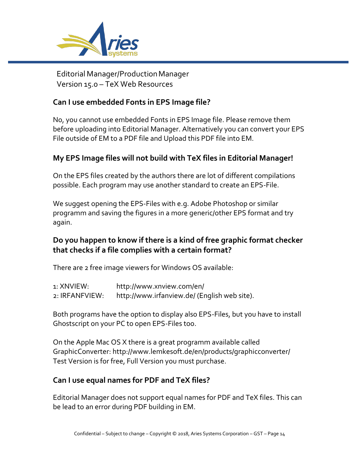

#### **Can I use embedded Fonts in EPS Image file?**

No, you cannot use embedded Fonts in EPS Image file. Please remove them before uploading into Editorial Manager. Alternatively you can convert your EPS File outside of EM to a PDF file and Upload this PDF file into EM.

## **My EPS Image files will not build with TeX files in Editorial Manager!**

On the EPS files created by the authors there are lot of different compilations possible. Each program may use another standard to create an EPS-File.

We suggest opening the EPS-Files with e.g. Adobe Photoshop or similar programm and saving the figures in a more generic/other EPS format and try again.

## **Do you happen to know if there is a kind of free graphic format checker that checks if a file complies with a certain format?**

There are 2 free image viewers for Windows OS available:

| 1: XNVIEW:     | http://www.xnview.com/en/                    |
|----------------|----------------------------------------------|
| 2: IRFANFVIEW: | http://www.irfanview.de/ (English web site). |

Both programs have the option to display also EPS-Files, but you have to install Ghostscript on your PC to open EPS-Files too.

On the Apple Mac OS X there is a great programm available called GraphicConverter:<http://www.lemkesoft.de/en/products/graphicconverter/> Test Version is for free, Full Version you must purchase.

## **Can I use equal names for PDF and TeX files?**

Editorial Manager does not support equal names for PDF and TeX files. This can be lead to an error during PDF building in EM.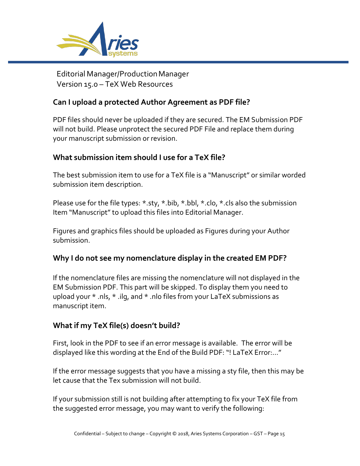

#### **Can I upload a protected Author Agreement as PDF file?**

PDF files should never be uploaded if they are secured. The EM Submission PDF will not build. Please unprotect the secured PDF File and replace them during your manuscript submission or revision.

#### **What submission item should I use for a TeX file?**

The best submission item to use for a TeX file is a "Manuscript" or similar worded submission item description.

Please use for the file types: \*.sty, \*.bib, \*.bbl, \*.clo, \*.cls also the submission Item "Manuscript" to upload this files into Editorial Manager.

Figures and graphics files should be uploaded as Figures during your Author submission.

#### **Why I do not see my nomenclature display in the created EM PDF?**

If the nomenclature files are missing the nomenclature will not displayed in the EM Submission PDF. This part will be skipped. To display them you need to upload your \* .nls, \* .ilg, and \* .nlo files from your LaTeX submissions as manuscript item.

#### **What if my TeX file(s) doesn't build?**

First, look in the PDF to see if an error message is available. The error will be displayed like this wording at the End of the Build PDF: "! LaTeX Error:…"

If the error message suggests that you have a missing a sty file, then this may be let cause that the Tex submission will not build.

If your submission still is not building after attempting to fix your TeX file from the suggested error message, you may want to verify the following: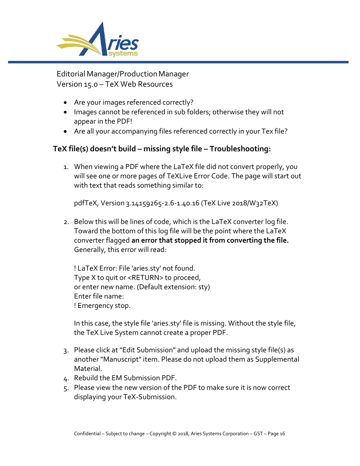

- Are your images referenced correctly?
- Images cannot be referenced in sub folders; otherwise they will not appear in the PDF!
- Are all your accompanying files referenced correctly in your Tex file?

## **TeX file(s) doesn't build – missing style file – Troubleshooting:**

1. When viewing a PDF where the LaTeX file did not convert properly, you will see one or more pages of TeXLive Error Code. The page will start out with text that reads something similar to:

pdfTeX, Version 3.14159265-2.6-1.40.16 (TeX Live 2018/W32TeX)

2. Below this will be lines of code, which is the LaTeX converter log file. Toward the bottom of this log file will be the point where the LaTeX converter flagged **an error that stopped it from converting the file.**  Generally, this error will read:

! LaTeX Error: File 'aries.sty' not found. Type X to quit or <RETURN> to proceed, or enter new name. (Default extension: sty) Enter file name: ! Emergency stop.

In this case, the style file 'aries.sty' file is missing. Without the style file, the TeX Live System cannot create a proper PDF.

- 3. Please click at "Edit Submission" and upload the missing style file(s) as another "Manuscript" item. Please do not upload them as Supplemental Material.
- 4. Rebuild the EM Submission PDF.
- 5. Please view the new version of the PDF to make sure it is now correct displaying your TeX-Submission.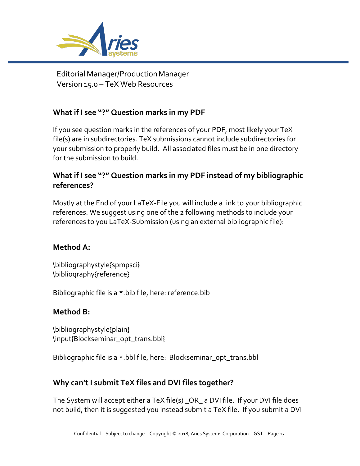

## **What if I see "?" Question marks in my PDF**

If you see question marks in the references of your PDF, most likely your TeX file(s) are in subdirectories. TeX submissions cannot include subdirectories for your submission to properly build. All associated files must be in one directory for the submission to build.

## **What if I see "?" Question marks in my PDF instead of my bibliographic references?**

Mostly at the End of your LaTeX-File you will include a link to your bibliographic references. We suggest using one of the 2 following methods to include your references to you LaTeX-Submission (using an external bibliographic file):

## **Method A:**

\bibliographystyle{spmpsci} \bibliography{reference}

Bibliographic file is a \*.bib file, here: reference.bib

#### **Method B:**

\bibliographystyle{plain} \input{Blockseminar\_opt\_trans.bbl}

Bibliographic file is a \*.bbl file, here: Blockseminar\_opt\_trans.bbl

## **Why can't I submit TeX files and DVI files together?**

The System will accept either a TeX file(s) \_OR\_ a DVI file. If your DVI file does not build, then it is suggested you instead submit a TeX file. If you submit a DVI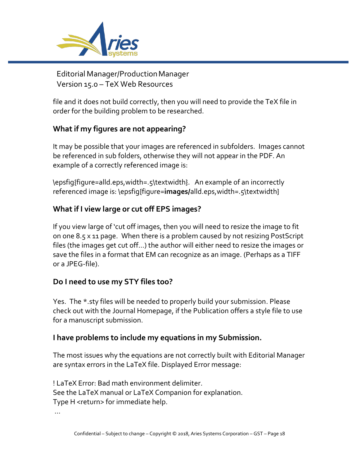

file and it does not build correctly, then you will need to provide the TeX file in order for the building problem to be researched.

## **What if my figures are not appearing?**

It may be possible that your images are referenced in subfolders. Images cannot be referenced in sub folders, otherwise they will not appear in the PDF. An example of a correctly referenced image is:

\epsfig{figure=alld.eps,width=.5\textwidth}. An example of an incorrectly referenced image is: \epsfig{figure=**images/**alld.eps,width=.5\textwidth}

## **What if I view large or cut off EPS images?**

If you view large of 'cut off images, then you will need to resize the image to fit on one 8.5 x 11 page. When there is a problem caused by not resizing PostScript files (the images get cut off…) the author will either need to resize the images or save the files in a format that EM can recognize as an image. (Perhaps as a TIFF or a JPEG-file).

## **Do I need to use my STY files too?**

Yes. The \*.sty files will be needed to properly build your submission. Please check out with the Journal Homepage, if the Publication offers a style file to use for a manuscript submission.

#### **I have problems to include my equations in my Submission.**

The most issues why the equations are not correctly built with Editorial Manager are syntax errors in the LaTeX file. Displayed Error message:

! LaTeX Error: Bad math environment delimiter. See the LaTeX manual or LaTeX Companion for explanation. Type H <return> for immediate help.

...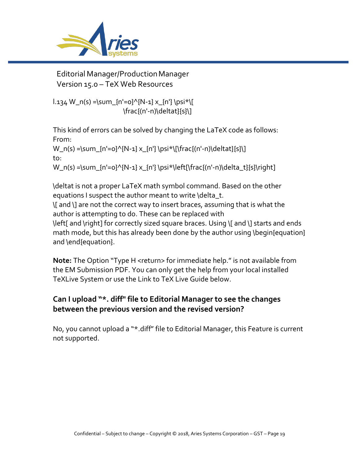

 $l.134 W_n(s) = \sum_{n'=0}^{N-1} x_{n'} \psi$  $\frac{(n'-n)\delta}{\delta}$ 

This kind of errors can be solved by changing the LaTeX code as follows: From:

 $W_n(s) = \sum_{n'=0}^{\infty} \{N-1\} x_{n'} \psi(x)$ to: W\_n(s) =\sum\_{n'=0}^{N-1} x\_{n'} \psi\*\left[\frac{(n'-n)\delta\_t}{s}\right]

\deltat is not a proper LaTeX math symbol command. Based on the other

equations I suspect the author meant to write \delta\_t.

\[ and \] are not the correct way to insert braces, assuming that is what the author is attempting to do. These can be replaced with

\left[ and \right] for correctly sized square braces. Using \[ and \] starts and ends math mode, but this has already been done by the author using \begin{equation} and \end{equation}.

**Note:** The Option "Type H <return> for immediate help." is not available from the EM Submission PDF. You can only get the help from your local installed TeXLive System or use the Link to TeX Live Guide below.

## **Can I upload "\*. diff" file to Editorial Manager to see the changes between the previous version and the revised version?**

No, you cannot upload a "\*.diff" file to Editorial Manager, this Feature is current not supported.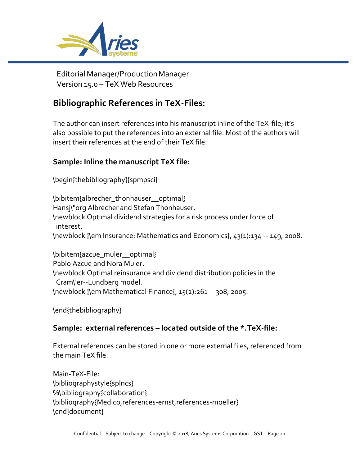

## **Bibliographic References in TeX-Files:**

The author can insert references into his manuscript inline of the TeX-file; it's also possible to put the references into an external file. Most of the authors will insert their references at the end of their TeX file:

## **Sample: Inline the manuscript TeX file:**

\begin{thebibliography}{spmpsci}

\bibitem{albrecher\_thonhauser\_\_optimal} Hansj\"org Albrecher and Stefan Thonhauser. \newblock Optimal dividend strategies for a risk process under force of interest. \newblock {\em Insurance: Mathematics and Economics}, 43(1):134 -- 149, 2008.

\bibitem{azcue\_muler\_\_optimal} Pablo Azcue and Nora Muler. \newblock Optimal reinsurance and dividend distribution policies in the Cram\'er--Lundberg model. \newblock {\em Mathematical Finance}, 15(2):261 -- 308, 2005.

\end{thebibliography}

## **Sample: external references – located outside of the \*.TeX-file:**

External references can be stored in one or more external files, referenced from the main TeX file:

Main-TeX-File: \bibliographystyle{splncs} %\bibliography{collaboration} \bibliography{Medico,references-ernst,references-moeller} \end{document}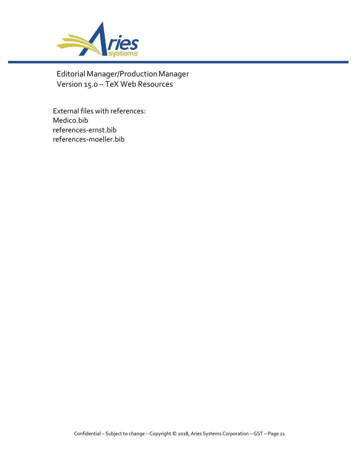

External files with references: Medico.bib references-ernst.bib references-moeller.bib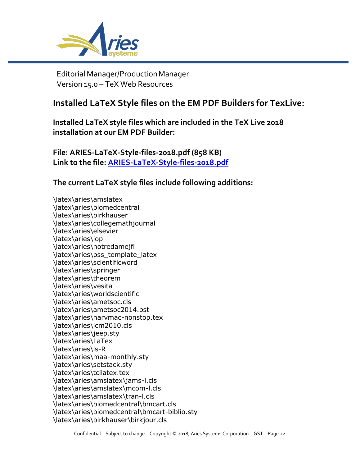

## **Installed LaTeX Style files on the EM PDF Builders for TexLive:**

**Installed LaTeX style files which are included in the TeX Live 2018 installation at our EM PDF Builder:**

**File: ARIES-LaTeX-Style-files-2018.pdf (858 KB) Link to the file:<ARIES-LaTeX-Style-files-2018.pdf>**

**The current LaTeX style files include following additions:**

\latex\aries\amslatex \latex\aries\biomedcentral \latex\aries\birkhauser \latex\aries\collegemathjournal \latex\aries\elsevier \latex\aries\iop \latex\aries\notredamejfl \latex\aries\pss\_template\_latex \latex\aries\scientificword \latex\aries\springer \latex\aries\theorem \latex\aries\vesita \latex\aries\worldscientific \latex\aries\ametsoc.cls \latex\aries\ametsoc2014.bst \latex\aries\harvmac-nonstop.tex \latex\aries\icm2010.cls \latex\aries\jeep.sty \latex\aries\LaTex \latex\aries\ls-R \latex\aries\maa-monthly.sty \latex\aries\setstack.sty \latex\aries\tcilatex.tex \latex\aries\amslatex\jams-l.cls \latex\aries\amslatex\mcom-l.cls \latex\aries\amslatex\tran-l.cls \latex\aries\biomedcentral\bmcart.cls \latex\aries\biomedcentral\bmcart-biblio.sty \latex\aries\birkhauser\birkjour.cls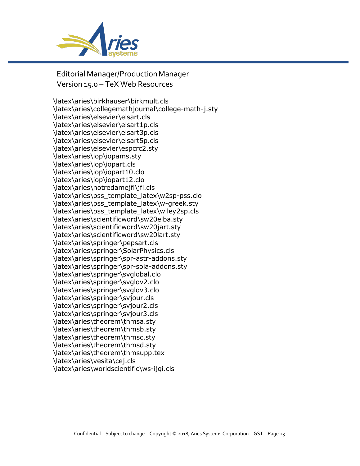

\latex\aries\birkhauser\birkmult.cls \latex\aries\collegemathjournal\college-math-j.sty \latex\aries\elsevier\elsart.cls \latex\aries\elsevier\elsart1p.cls \latex\aries\elsevier\elsart3p.cls \latex\aries\elsevier\elsart5p.cls \latex\aries\elsevier\espcrc2.sty \latex\aries\iop\iopams.sty \latex\aries\iop\iopart.cls \latex\aries\iop\iopart10.clo \latex\aries\iop\iopart12.clo \latex\aries\notredamejfl\jfl.cls \latex\aries\pss\_template\_latex\w2sp-pss.clo \latex\aries\pss\_template\_latex\w-greek.sty \latex\aries\pss\_template\_latex\wiley2sp.cls \latex\aries\scientificword\sw20elba.sty \latex\aries\scientificword\sw20jart.sty \latex\aries\scientificword\sw20lart.sty \latex\aries\springer\pepsart.cls \latex\aries\springer\SolarPhysics.cls \latex\aries\springer\spr-astr-addons.sty \latex\aries\springer\spr-sola-addons.sty \latex\aries\springer\svglobal.clo \latex\aries\springer\svglov2.clo \latex\aries\springer\svglov3.clo \latex\aries\springer\svjour.cls \latex\aries\springer\svjour2.cls \latex\aries\springer\svjour3.cls \latex\aries\theorem\thmsa.sty \latex\aries\theorem\thmsb.sty \latex\aries\theorem\thmsc.sty \latex\aries\theorem\thmsd.sty \latex\aries\theorem\thmsupp.tex \latex\aries\vesita\cej.cls \latex\aries\worldscientific\ws-ijqi.cls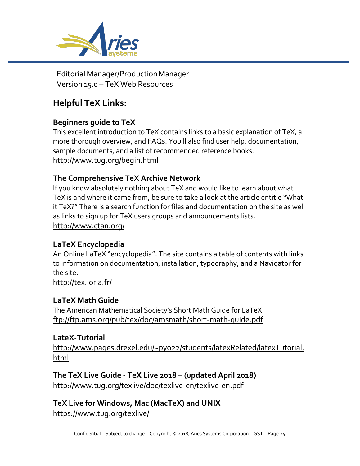

# **Helpful TeX Links:**

## **Beginners guide to TeX**

This excellent introduction to TeX contains links to a basic explanation of TeX, a more thorough overview, and FAQs. You'll also find user help, documentation, sample documents, and a list of recommended reference books. <http://www.tug.org/begin.html>

## **The Comprehensive TeX Archive Network**

If you know absolutely nothing about TeX and would like to learn about what TeX is and where it came from, be sure to take a look at the article entitle "What it TeX?" There is a search function for files and documentation on the site as well as links to sign up for TeX users groups and announcements lists. <http://www.ctan.org/>

## **LaTeX Encyclopedia**

An Online LaTeX "encyclopedia". The site contains a table of contents with links to information on documentation, installation, typography, and a Navigator for the site.

<http://tex.loria.fr/>

## **LaTeX Math Guide**

The American Mathematical Society's Short Math Guide for LaTeX. <ftp://ftp.ams.org/pub/tex/doc/amsmath/short-math-guide.pdf>

## **LateX-Tutorial**

http://www.pages.drexel.edu/~pyo22/students/latexRelated/latexTutorial. html.

**The TeX Live Guide - TeX Live 2018 – (updated April 2018)** <http://www.tug.org/texlive/doc/texlive-en/texlive-en.pdf>

**TeX Live for Windows, Mac (MacTeX) and UNIX** https://www.tug.org/texlive/